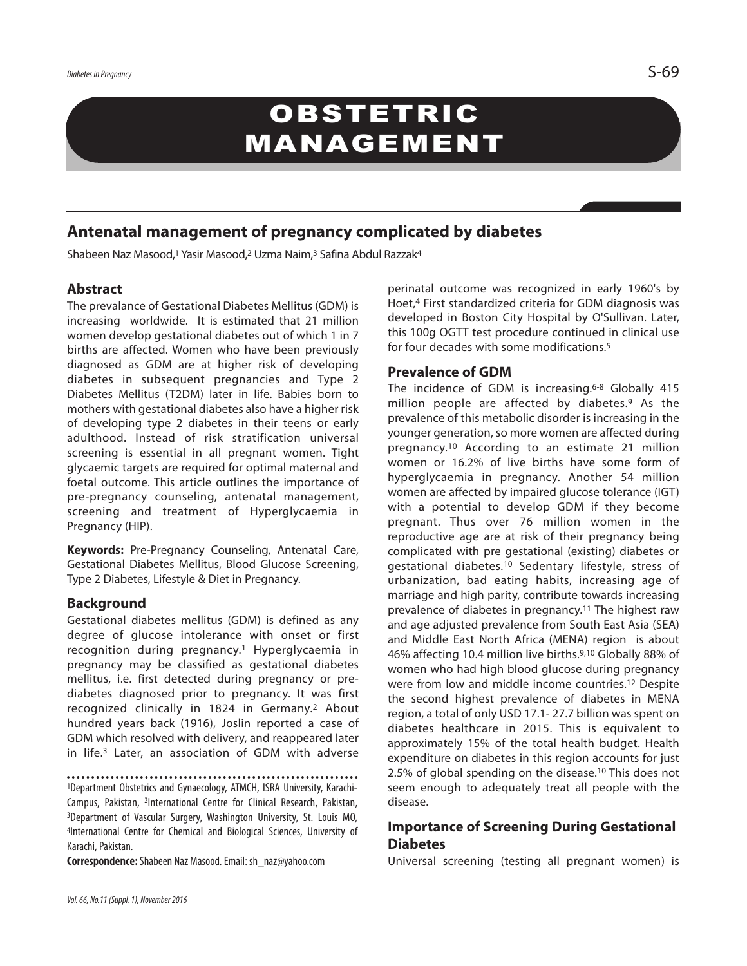# **OBSTETRIC** MANAGEMENT

# **Antenatal management of pregnancy complicated by diabetes**

Shabeen Naz Masood, <sup>1</sup> Yasir Masood, <sup>2</sup> Uzma Naim, <sup>3</sup> Safina Abdul Razzak4

#### **Abstract**

The prevalance of Gestational Diabetes Mellitus (GDM) is increasing worldwide. It is estimated that 21 million women develop gestational diabetes out of which 1 in 7 births are affected. Women who have been previously diagnosed as GDM are at higher risk of developing diabetes in subsequent pregnancies and Type 2 Diabetes Mellitus (T2DM) later in life. Babies born to mothers with gestational diabetes also have a higher risk of developing type 2 diabetes in their teens or early adulthood. Instead of risk stratification universal screening is essential in all pregnant women. Tight glycaemic targets are required for optimal maternal and foetal outcome. This article outlines the importance of pre-pregnancy counseling, antenatal management, screening and treatment of Hyperglycaemia in Pregnancy (HIP).

**Keywords:** Pre-Pregnancy Counseling, Antenatal Care, Gestational Diabetes Mellitus, Blood Glucose Screening, Type 2 Diabetes, Lifestyle & Diet in Pregnancy.

#### **Background**

Gestational diabetes mellitus (GDM) is defined as any degree of glucose intolerance with onset or first recognition during pregnancy.1 Hyperglycaemia in pregnancy may be classified as gestational diabetes mellitus, i.e. first detected during pregnancy or prediabetes diagnosed prior to pregnancy. It was first recognized clinically in 1824 in Germany.2 About hundred years back (1916), Joslin reported a case of GDM which resolved with delivery, and reappeared later in life. <sup>3</sup> Later, an association of GDM with adverse

1Department Obstetrics and Gynaecology, ATMCH, ISRA University, Karachi-Campus, Pakistan, 2International Centre for Clinical Research, Pakistan, 3Department of Vascular Surgery, Washington University, St. Louis MO, 4International Centre for Chemical and Biological Sciences, University of Karachi, Pakistan.

**Correspondence:**Shabeen Naz Masood.Email: sh\_naz@yahoo.com

perinatal outcome was recognized in early 1960's by Hoet, <sup>4</sup> First standardized criteria for GDM diagnosis was developed in Boston City Hospital by O'Sullivan. Later, this 100g OGTT test procedure continued in clinical use for four decades with some modifications. 5

#### **Prevalence of GDM**

The incidence of GDM is increasing. 6-8 Globally 415 million people are affected by diabetes.9 As the prevalence of this metabolic disorder is increasing in the younger generation, so more women are affected during pregnancy.10 According to an estimate 21 million women or 16.2% of live births have some form of hyperglycaemia in pregnancy. Another 54 million women are affected by impaired glucose tolerance (IGT) with a potential to develop GDM if they become pregnant. Thus over 76 million women in the reproductive age are at risk of their pregnancy being complicated with pre gestational (existing) diabetes or gestational diabetes.10 Sedentary lifestyle, stress of urbanization, bad eating habits, increasing age of marriage and high parity, contribute towards increasing prevalence of diabetes in pregnancy. <sup>11</sup> The highest raw and age adjusted prevalence from South East Asia (SEA) and Middle East North Africa (MENA) region is about 46% affecting 10.4 million live births. 9,10 Globally 88% of women who had high blood glucose during pregnancy were from low and middle income countries. <sup>12</sup> Despite the second highest prevalence of diabetes in MENA region, a total of only USD 17.1- 27.7 billion was spent on diabetes healthcare in 2015. This is equivalent to approximately 15% of the total health budget. Health expenditure on diabetes in this region accounts for just 2.5% of global spending on the disease. <sup>10</sup> This does not seem enough to adequately treat all people with the disease.

### **Importance of Screening During Gestational Diabetes**

Universal screening (testing all pregnant women) is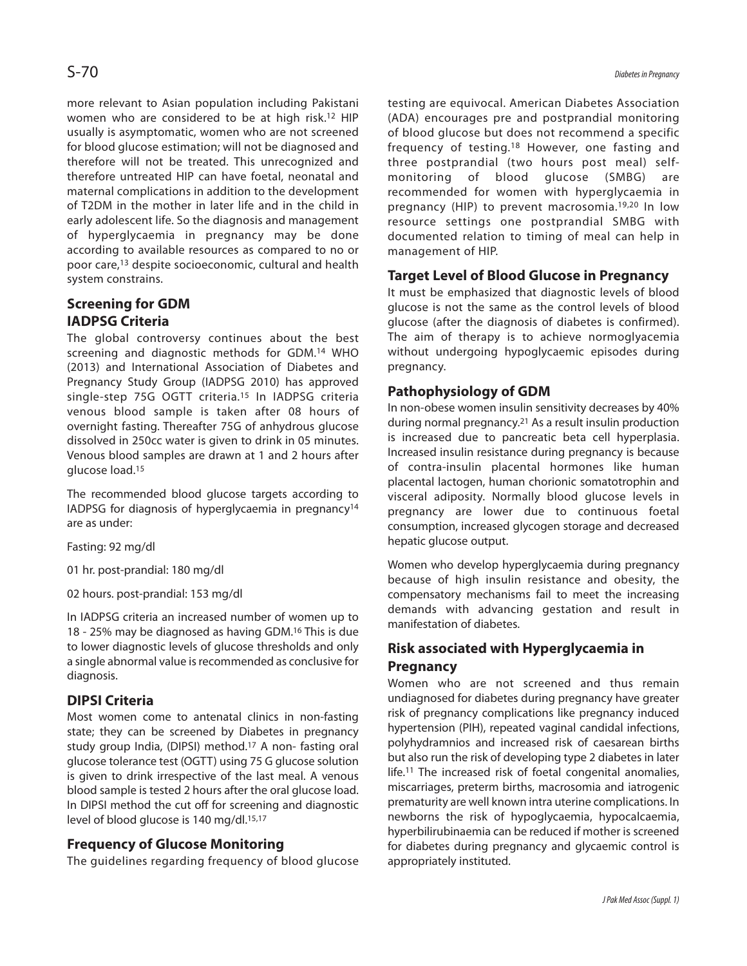more relevant to Asian population including Pakistani women who are considered to be at high risk. 12 HIP usually is asymptomatic, women who are not screened for blood glucose estimation; will not be diagnosed and therefore will not be treated. This unrecognized and therefore untreated HIP can have foetal, neonatal and maternal complications in addition to the development of T2DM in the mother in later life and in the child in early adolescent life. So the diagnosis and management of hyperglycaemia in pregnancy may be done according to available resources as compared to no or poor care, 13 despite socioeconomic, cultural and health system constrains.

# **Screening for GDM IADPSG Criteria**

The global controversy continues about the best screening and diagnostic methods for GDM. <sup>14</sup> WHO (2013) and International Association of Diabetes and Pregnancy Study Group (IADPSG 2010) has approved single-step 75G OGTT criteria.<sup>15</sup> In IADPSG criteria venous blood sample is taken after 08 hours of overnight fasting. Thereafter 75G of anhydrous glucose dissolved in 250cc water is given to drink in 05 minutes. Venous blood samples are drawn at 1 and 2 hours after glucose load. 15

The recommended blood glucose targets according to IADPSG for diagnosis of hyperglycaemia in pregnancy14 are as under:

Fasting: 92 mg/dl

01 hr. post-prandial: 180 mg/dl

02 hours. post-prandial: 153 mg/dl

In IADPSG criteria an increased number of women up to 18 - 25% may be diagnosed as having GDM. <sup>16</sup> This is due to lower diagnostic levels of glucose thresholds and only a single abnormal value is recommended as conclusive for diagnosis.

# **DIPSI Criteria**

Most women come to antenatal clinics in non-fasting state; they can be screened by Diabetes in pregnancy study group India, (DIPSI) method. <sup>17</sup> A non- fasting oral glucose tolerance test (OGTT) using 75 G glucose solution is given to drink irrespective of the last meal. A venous blood sample is tested 2 hours after the oral glucose load. In DIPSI method the cut off for screening and diagnostic level of blood glucose is 140 mg/dl. 15,17

# **Frequency of Glucose Monitoring**

The guidelines regarding frequency of blood glucose

testing are equivocal. American Diabetes Association (ADA) encourages pre and postprandial monitoring of blood glucose but does not recommend a specific frequency of testing.18 However, one fasting and three postprandial (two hours post meal) selfmonitoring of blood glucose (SMBG) are recommended for women with hyperglycaemia in pregnancy (HIP) to prevent macrosomia.19,20 In low resource settings one postprandial SMBG with documented relation to timing of meal can help in management of HIP.

# **Target Level of Blood Glucose in Pregnancy**

It must be emphasized that diagnostic levels of blood glucose is not the same as the control levels of blood glucose (after the diagnosis of diabetes is confirmed). The aim of therapy is to achieve normoglyacemia without undergoing hypoglycaemic episodes during pregnancy.

# **Pathophysiology of GDM**

In non-obese women insulin sensitivity decreases by 40% during normal pregnancy. <sup>21</sup> As a result insulin production is increased due to pancreatic beta cell hyperplasia. Increased insulin resistance during pregnancy is because of contra-insulin placental hormones like human placental lactogen, human chorionic somatotrophin and visceral adiposity. Normally blood glucose levels in pregnancy are lower due to continuous foetal consumption, increased glycogen storage and decreased hepatic glucose output.

Women who develop hyperglycaemia during pregnancy because of high insulin resistance and obesity, the compensatory mechanisms fail to meet the increasing demands with advancing gestation and result in manifestation of diabetes.

# **Risk associated with Hyperglycaemia in Pregnancy**

Women who are not screened and thus remain undiagnosed for diabetes during pregnancy have greater risk of pregnancy complications like pregnancy induced hypertension (PIH), repeated vaginal candidal infections, polyhydramnios and increased risk of caesarean births but also run the risk of developing type 2 diabetes in later life. <sup>11</sup> The increased risk of foetal congenital anomalies, miscarriages, preterm births, macrosomia and iatrogenic prematurity are well known intra uterine complications. In newborns the risk of hypoglycaemia, hypocalcaemia, hyperbilirubinaemia can be reduced if mother is screened for diabetes during pregnancy and glycaemic control is appropriately instituted.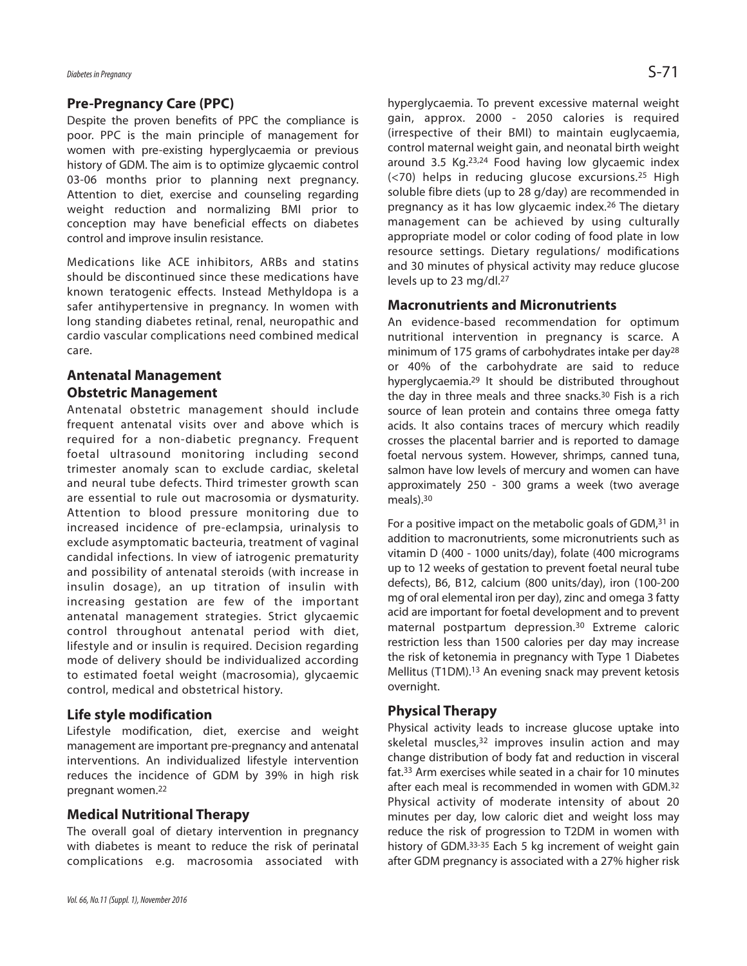#### **Pre-Pregnancy Care (PPC)**

Despite the proven benefits of PPC the compliance is poor. PPC is the main principle of management for women with pre-existing hyperglycaemia or previous history of GDM. The aim is to optimize glycaemic control 03-06 months prior to planning next pregnancy. Attention to diet, exercise and counseling regarding weight reduction and normalizing BMI prior to conception may have beneficial effects on diabetes control and improve insulin resistance.

Medications like ACE inhibitors, ARBs and statins should be discontinued since these medications have known teratogenic effects. Instead Methyldopa is a safer antihypertensive in pregnancy. In women with long standing diabetes retinal, renal, neuropathic and cardio vascular complications need combined medical care.

#### **Antenatal Management Obstetric Management**

Antenatal obstetric management should include frequent antenatal visits over and above which is required for a non-diabetic pregnancy. Frequent foetal ultrasound monitoring including second trimester anomaly scan to exclude cardiac, skeletal and neural tube defects. Third trimester growth scan are essential to rule out macrosomia or dysmaturity. Attention to blood pressure monitoring due to increased incidence of pre-eclampsia, urinalysis to exclude asymptomatic bacteuria, treatment of vaginal candidal infections. In view of iatrogenic prematurity and possibility of antenatal steroids (with increase in insulin dosage), an up titration of insulin with increasing gestation are few of the important antenatal management strategies. Strict glycaemic control throughout antenatal period with diet, lifestyle and or insulin is required. Decision regarding mode of delivery should be individualized according to estimated foetal weight (macrosomia), glycaemic control, medical and obstetrical history.

#### **Life style modification**

Lifestyle modification, diet, exercise and weight management are important pre-pregnancy and antenatal interventions. An individualized lifestyle intervention reduces the incidence of GDM by 39% in high risk pregnant women. 22

#### **Medical Nutritional Therapy**

The overall goal of dietary intervention in pregnancy with diabetes is meant to reduce the risk of perinatal complications e.g. macrosomia associated with hyperglycaemia. To prevent excessive maternal weight gain, approx. 2000 - 2050 calories is required (irrespective of their BMI) to maintain euglycaemia, control maternal weight gain, and neonatal birth weight around 3.5 Kg. 23,24 Food having low glycaemic index (<70) helps in reducing glucose excursions.25 High soluble fibre diets (up to 28 g/day) are recommended in pregnancy as it has low glycaemic index. <sup>26</sup> The dietary management can be achieved by using culturally appropriate model or color coding of food plate in low resource settings. Dietary regulations/ modifications and 30 minutes of physical activity may reduce glucose levels up to 23 mg/dl. 27

#### **Macronutrients and Micronutrients**

An evidence-based recommendation for optimum nutritional intervention in pregnancy is scarce. A minimum of 175 grams of carbohydrates intake per day28 or 40% of the carbohydrate are said to reduce hyperglycaemia. <sup>29</sup> It should be distributed throughout the day in three meals and three snacks. 30 Fish is a rich source of lean protein and contains three omega fatty acids. It also contains traces of mercury which readily crosses the placental barrier and is reported to damage foetal nervous system. However, shrimps, canned tuna, salmon have low levels of mercury and women can have approximately 250 - 300 grams a week (two average meals). 30

For a positive impact on the metabolic goals of GDM,<sup>31</sup> in addition to macronutrients, some micronutrients such as vitamin D (400 - 1000 units/day), folate (400 micrograms up to 12 weeks of gestation to prevent foetal neural tube defects), B6, B12, calcium (800 units/day), iron (100-200 mg of oral elemental iron per day), zinc and omega 3 fatty acid are important for foetal development and to prevent maternal postpartum depression. <sup>30</sup> Extreme caloric restriction less than 1500 calories per day may increase the risk of ketonemia in pregnancy with Type 1 Diabetes Mellitus (T1DM). <sup>13</sup> An evening snack may prevent ketosis overnight.

#### **Physical Therapy**

Physical activity leads to increase glucose uptake into skeletal muscles, <sup>32</sup> improves insulin action and may change distribution of body fat and reduction in visceral fat. <sup>33</sup> Arm exercises while seated in a chair for 10 minutes after each meal is recommended in women with GDM. 32 Physical activity of moderate intensity of about 20 minutes per day, low caloric diet and weight loss may reduce the risk of progression to T2DM in women with history of GDM.<sup>33-35</sup> Each 5 kg increment of weight gain after GDM pregnancy is associated with a 27% higher risk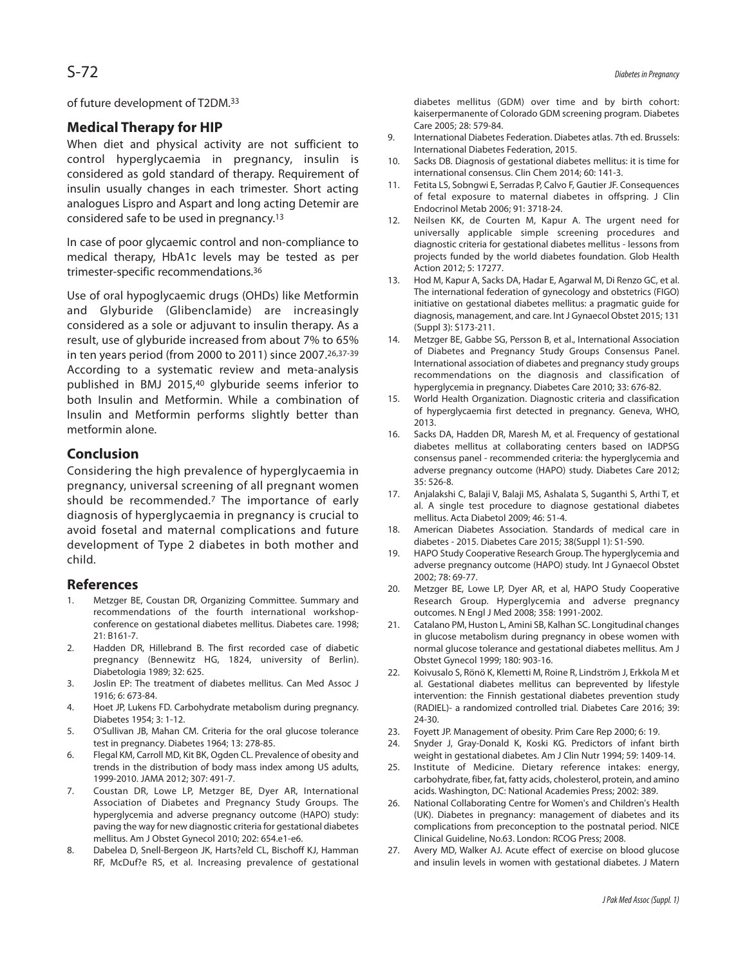of future development of T2DM. 33

# **Medical Therapy for HIP**

When diet and physical activity are not sufficient to control hyperglycaemia in pregnancy, insulin is considered as gold standard of therapy. Requirement of insulin usually changes in each trimester. Short acting analogues Lispro and Aspart and long acting Detemir are considered safe to be used in pregnancy. 13

In case of poor glycaemic control and non-compliance to medical therapy, HbA1c levels may be tested as per trimester-specific recommendations. 36

Use of oral hypoglycaemic drugs (OHDs) like Metformin and Glyburide (Glibenclamide) are increasingly considered as a sole or adjuvant to insulin therapy. As a result, use of glyburide increased from about 7% to 65% in ten years period (from 2000 to 2011) since 2007. 26,37-39 According to a systematic review and meta-analysis published in BMJ 2015, <sup>40</sup> glyburide seems inferior to both Insulin and Metformin. While a combination of Insulin and Metformin performs slightly better than metformin alone.

### **Conclusion**

Considering the high prevalence of hyperglycaemia in pregnancy, universal screening of all pregnant women should be recommended. <sup>7</sup> The importance of early diagnosis of hyperglycaemia in pregnancy is crucial to avoid fosetal and maternal complications and future development of Type 2 diabetes in both mother and child.

#### **References**

- 1. Metzger BE, Coustan DR, Organizing Committee. Summary and recommendations of the fourth international workshopconference on gestational diabetes mellitus. Diabetes care. 1998; 21: B161-7.
- 2. Hadden DR, Hillebrand B. The first recorded case of diabetic pregnancy (Bennewitz HG, 1824, university of Berlin). Diabetologia 1989; 32: 625.
- 3. Joslin EP: The treatment of diabetes mellitus. Can Med Assoc J 1916; 6: 673-84.
- 4. Hoet JP, Lukens FD. Carbohydrate metabolism during pregnancy. Diabetes 1954; 3: 1-12.
- 5. O'Sullivan JB, Mahan CM. Criteria for the oral glucose tolerance test in pregnancy. Diabetes 1964; 13: 278-85.
- 6. Flegal KM, Carroll MD, Kit BK, Ogden CL. Prevalence of obesity and trends in the distribution of body mass index among US adults, 1999-2010. JAMA 2012; 307: 491-7.
- 7. Coustan DR, Lowe LP, Metzger BE, Dyer AR, International Association of Diabetes and Pregnancy Study Groups. The hyperglycemia and adverse pregnancy outcome (HAPO) study: paving the way for new diagnostic criteria for gestational diabetes mellitus. Am J Obstet Gynecol 2010; 202: 654.e1-e6.
- 8. Dabelea D, Snell-Bergeon JK, Harts?eld CL, Bischoff KJ, Hamman RF, McDuf?e RS, et al. Increasing prevalence of gestational

diabetes mellitus (GDM) over time and by birth cohort: kaiserpermanente of Colorado GDM screening program. Diabetes Care 2005; 28: 579-84.

- 9. International Diabetes Federation. Diabetes atlas. 7th ed. Brussels: International Diabetes Federation, 2015.
- 10. Sacks DB. Diagnosis of gestational diabetes mellitus: it is time for international consensus. Clin Chem 2014; 60: 141-3.
- 11. Fetita LS, Sobngwi E, Serradas P, Calvo F, Gautier JF. Consequences of fetal exposure to maternal diabetes in offspring. J Clin Endocrinol Metab 2006; 91: 3718-24.
- 12. Neilsen KK, de Courten M, Kapur A. The urgent need for universally applicable simple screening procedures and diagnostic criteria for gestational diabetes mellitus - lessons from projects funded by the world diabetes foundation. Glob Health Action 2012; 5: 17277.
- 13. Hod M, Kapur A, Sacks DA, Hadar E, Agarwal M, Di Renzo GC, et al. The international federation of gynecology and obstetrics (FIGO) initiative on gestational diabetes mellitus: a pragmatic guide for diagnosis, management, and care. IntJ Gynaecol Obstet 2015; 131 (Suppl 3): S173-211.
- 14. Metzger BE, Gabbe SG, Persson B, et al., International Association of Diabetes and Pregnancy Study Groups Consensus Panel. International association of diabetes and pregnancy study groups recommendations on the diagnosis and classification of hyperglycemia in pregnancy. Diabetes Care 2010; 33: 676-82.
- 15. World Health Organization. Diagnostic criteria and classification of hyperglycaemia first detected in pregnancy. Geneva, WHO, 2013.
- 16. Sacks DA, Hadden DR, Maresh M, et al. Frequency of gestational diabetes mellitus at collaborating centers based on IADPSG consensus panel - recommended criteria: the hyperglycemia and adverse pregnancy outcome (HAPO) study. Diabetes Care 2012; 35: 526-8.
- 17. Anjalakshi C, Balaji V, Balaji MS, Ashalata S, Suganthi S, Arthi T, et al. A single test procedure to diagnose gestational diabetes mellitus. Acta Diabetol 2009; 46: 51-4.
- 18. American Diabetes Association. Standards of medical care in diabetes - 2015. Diabetes Care 2015; 38(Suppl 1): S1-S90.
- 19. HAPO Study Cooperative Research Group. The hyperglycemia and adverse pregnancy outcome (HAPO) study. Int J Gynaecol Obstet 2002; 78: 69-77.
- 20. Metzger BE, Lowe LP, Dyer AR, et al, HAPO Study Cooperative Research Group. Hyperglycemia and adverse pregnancy outcomes. N Engl J Med 2008; 358: 1991-2002.
- 21. Catalano PM, Huston L, Amini SB, Kalhan SC. Longitudinal changes in glucose metabolism during pregnancy in obese women with normal glucose tolerance and gestational diabetes mellitus. Am J Obstet Gynecol 1999; 180: 903-16.
- 22. Koivusalo S, Rönö K, Klemetti M, Roine R, Lindström J, Erkkola M et al. Gestational diabetes mellitus can beprevented by lifestyle intervention: the Finnish gestational diabetes prevention study (RADIEL)- a randomized controlled trial. Diabetes Care 2016; 39: 24-30.
- 23. Foyett JP. Management of obesity. Prim Care Rep 2000; 6: 19.
- 24. Snyder J, Gray-Donald K, Koski KG. Predictors of infant birth weight in gestational diabetes. Am J Clin Nutr 1994; 59: 1409-14.
- 25. Institute of Medicine. Dietary reference intakes: energy, carbohydrate, fiber, fat, fatty acids, cholesterol, protein, and amino acids. Washington, DC: National Academies Press; 2002: 389.
- 26. National Collaborating Centre for Women's and Children's Health (UK). Diabetes in pregnancy: management of diabetes and its complications from preconception to the postnatal period. NICE Clinical Guideline, No.63. London: RCOG Press; 2008.
- 27. Avery MD, Walker AJ. Acute effect of exercise on blood glucose and insulin levels in women with gestational diabetes. J Matern